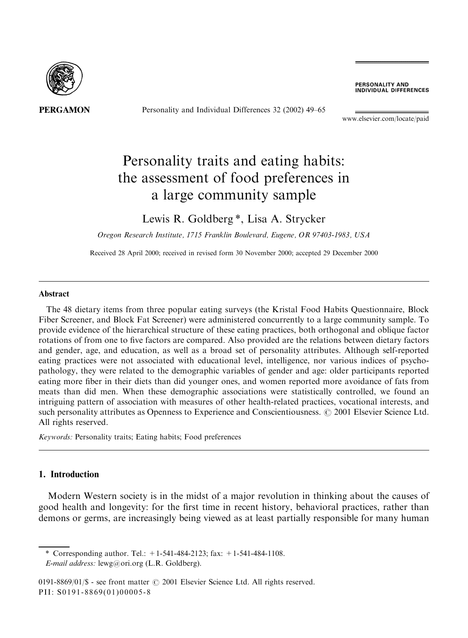

Personality and Individual Differences 32 (2002) 49–65

**PERSONALITY AND<br>INDIVIDUAL DIFFERENCES** 

www.elsevier.com/locate/paid

# Personality traits and eating habits: the assessment of food preferences in a large community sample

## Lewis R. Goldberg<sup>\*</sup>, Lisa A. Strycker

Oregon Research Institute, 1715 Franklin Boulevard, Eugene, OR 97403-1983, USA

Received 28 April 2000; received in revised form 30 November 2000; accepted 29 December 2000

#### **Abstract**

The 48 dietary items from three popular eating surveys (the Kristal Food Habits Questionnaire, Block Fiber Screener, and Block Fat Screener) were administered concurrently to a large community sample. To provide evidence of the hierarchical structure of these eating practices, both orthogonal and oblique factor rotations of from one to five factors are compared. Also provided are the relations between dietary factors and gender, age, and education, as well as a broad set of personality attributes. Although self-reported eating practices were not associated with educational level, intelligence, nor various indices of psychopathology, they were related to the demographic variables of gender and age: older participants reported eating more fiber in their diets than did younger ones, and women reported more avoidance of fats from meats than did men. When these demographic associations were statistically controlled, we found an intriguing pattern of association with measures of other health-related practices, vocational interests, and such personality attributes as Openness to Experience and Conscientiousness. © 2001 Elsevier Science Ltd. All rights reserved.

Keywords: Personality traits; Eating habits; Food preferences

## 1. Introduction

Modern Western society is in the midst of a major revolution in thinking about the causes of good health and longevity: for the first time in recent history, behavioral practices, rather than demons or germs, are increasingly being viewed as at least partially responsible for many human

\* Corresponding author. Tel.:  $+1-541-484-2123$ ; fax:  $+1-541-484-1108$ .

E-mail address: lewg@ori.org (L.R. Goldberg).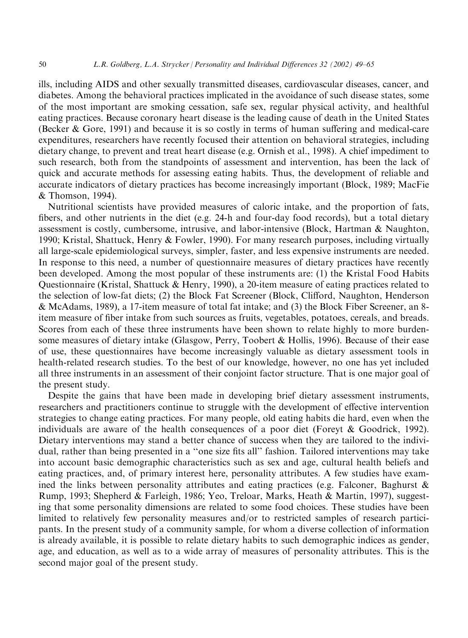ills, including AIDS and other sexually transmitted diseases, cardiovascular diseases, cancer, and diabetes. Among the behavioral practices implicated in the avoidance of such disease states, some of the most important are smoking cessation, safe sex, regular physical activity, and healthful eating practices. Because coronary heart disease is the leading cause of death in the United States (Becker & Gore, 1991) and because it is so costly in terms of human suffering and medical-care expenditures, researchers have recently focused their attention on behavioral strategies, including dietary change, to prevent and treat heart disease (e.g. Ornish et al., 1998). A chief impediment to such research, both from the standpoints of assessment and intervention, has been the lack of quick and accurate methods for assessing eating habits. Thus, the development of reliable and accurate indicators of dietary practices has become increasingly important (Block, 1989; MacFie & Thomson, 1994).

Nutritional scientists have provided measures of caloric intake, and the proportion of fats, fibers, and other nutrients in the diet (e.g. 24-h and four-day food records), but a total dietary assessment is costly, cumbersome, intrusive, and labor-intensive (Block, Hartman & Naughton, 1990; Kristal, Shattuck, Henry & Fowler, 1990). For many research purposes, including virtually all large-scale epidemiological surveys, simpler, faster, and less expensive instruments are needed. In response to this need, a number of questionnaire measures of dietary practices have recently been developed. Among the most popular of these instruments are: (1) the Kristal Food Habits Questionnaire (Kristal, Shattuck & Henry, 1990), a 20-item measure of eating practices related to the selection of low-fat diets; (2) the Block Fat Screener (Block, Clifford, Naughton, Henderson & McAdams, 1989), a 17-item measure of total fat intake; and (3) the Block Fiber Screener, an 8item measure of fiber intake from such sources as fruits, vegetables, potatoes, cereals, and breads. Scores from each of these three instruments have been shown to relate highly to more burdensome measures of dietary intake (Glasgow, Perry, Toobert & Hollis, 1996). Because of their ease of use, these questionnaires have become increasingly valuable as dietary assessment tools in health-related research studies. To the best of our knowledge, however, no one has yet included all three instruments in an assessment of their conjoint factor structure. That is one major goal of the present study.

Despite the gains that have been made in developing brief dietary assessment instruments, researchers and practitioners continue to struggle with the development of effective intervention strategies to change eating practices. For many people, old eating habits die hard, even when the individuals are aware of the health consequences of a poor diet (Foreyt & Goodrick, 1992). Dietary interventions may stand a better chance of success when they are tailored to the individual, rather than being presented in a "one size fits all" fashion. Tailored interventions may take into account basic demographic characteristics such as sex and age, cultural health beliefs and eating practices, and, of primary interest here, personality attributes. A few studies have examined the links between personality attributes and eating practices (e.g. Falconer, Baghurst  $\&$ Rump, 1993; Shepherd & Farleigh, 1986; Yeo, Treloar, Marks, Heath & Martin, 1997), suggesting that some personality dimensions are related to some food choices. These studies have been limited to relatively few personality measures and/or to restricted samples of research participants. In the present study of a community sample, for whom a diverse collection of information is already available, it is possible to relate dietary habits to such demographic indices as gender, age, and education, as well as to a wide array of measures of personality attributes. This is the second major goal of the present study.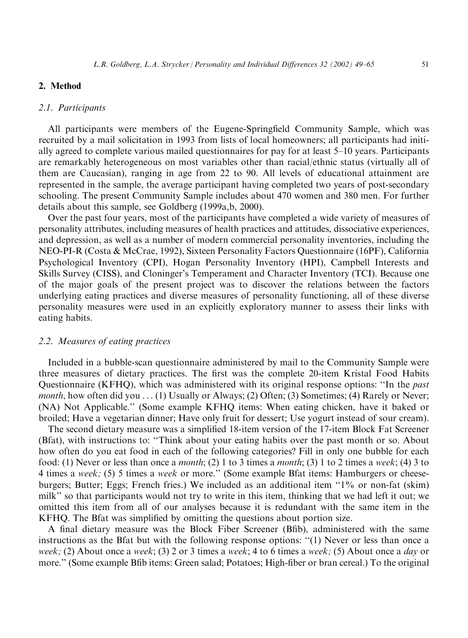## 2. Method

#### 2.1. Participants

All participants were members of the Eugene-Springfield Community Sample, which was recruited by a mail solicitation in 1993 from lists of local homeowners; all participants had initially agreed to complete various mailed questionnaires for pay for at least 5–10 years. Participants are remarkably heterogeneous on most variables other than racial/ethnic status (virtually all of them are Caucasian), ranging in age from 22 to 90. All levels of educational attainment are represented in the sample, the average participant having completed two years of post-secondary schooling. The present Community Sample includes about 470 women and 380 men. For further details about this sample, see Goldberg (1999a,b, 2000).

Over the past four years, most of the participants have completed a wide variety of measures of personality attributes, including measures of health practices and attitudes, dissociative experiences, and depression, as well as a number of modern commercial personality inventories, including the NEO-PI-R (Costa & McCrae, 1992), Sixteen Personality Factors Questionnaire (16PF), California Psychological Inventory (CPI), Hogan Personality Inventory (HPI), Campbell Interests and Skills Survey (CISS), and Cloninger's Temperament and Character Inventory (TCI). Because one of the major goals of the present project was to discover the relations between the factors underlying eating practices and diverse measures of personality functioning, all of these diverse personality measures were used in an explicitly exploratory manner to assess their links with eating habits.

## 2.2. Measures of eating practices

Included in a bubble-scan questionnaire administered by mail to the Community Sample were three measures of dietary practices. The first was the complete 20-item Kristal Food Habits Questionnaire (KFHQ), which was administered with its original response options: "In the *past month*, how often did you  $\dots$  (1) Usually or Always; (2) Often; (3) Sometimes; (4) Rarely or Never; (NA) Not Applicable." (Some example KFHQ items: When eating chicken, have it baked or broiled; Have a vegetarian dinner; Have only fruit for dessert; Use yogurt instead of sour cream).

The second dietary measure was a simplified 18-item version of the 17-item Block Fat Screener (Bfat), with instructions to: "Think about your eating habits over the past month or so. About how often do you eat food in each of the following categories? Fill in only one bubble for each food: (1) Never or less than once a *month*; (2) 1 to 3 times a *month*; (3) 1 to 2 times a week; (4) 3 to 4 times a week; (5) 5 times a week or more." (Some example Bfat items: Hamburgers or cheeseburgers; Butter; Eggs; French fries.) We included as an additional item "1% or non-fat (skim) milk" so that participants would not try to write in this item, thinking that we had left it out; we omitted this item from all of our analyses because it is redundant with the same item in the KFHQ. The Bfat was simplified by omitting the questions about portion size.

A final dietary measure was the Block Fiber Screener (Bfib), administered with the same instructions as the Bfat but with the following response options: "(1) Never or less than once a week; (2) About once a week; (3) 2 or 3 times a week; 4 to 6 times a week; (5) About once a day or more." (Some example Bfib items: Green salad; Potatoes; High-fiber or bran cereal.) To the original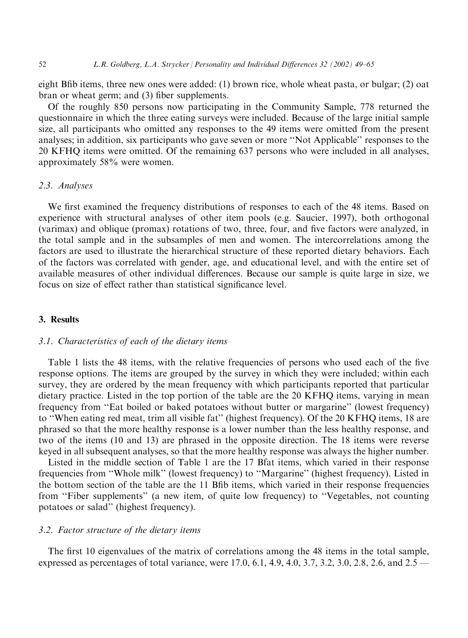eight Bfib items, three new ones were added: (1) brown rice, whole wheat pasta, or bulgar; (2) oat bran or wheat germ; and (3) fiber supplements.

Of the roughly 850 persons now participating in the Community Sample, 778 returned the questionnaire in which the three eating surveys were included. Because of the large initial sample size, all participants who omitted any responses to the 49 items were omitted from the present analyses; in addition, six participants who gave seven or more "Not Applicable" responses to the 20 KFHQ items were omitted. Of the remaining 637 persons who were included in all analyses, approximately 58% were women.

## 2.3. Analyses

We first examined the frequency distributions of responses to each of the 48 items. Based on experience with structural analyses of other item pools (e.g. Saucier, 1997), both orthogonal (varimax) and oblique (promax) rotations of two, three, four, and five factors were analyzed, in the total sample and in the subsamples of men and women. The intercorrelations among the factors are used to illustrate the hierarchical structure of these reported dietary behaviors. Each of the factors was correlated with gender, age, and educational level, and with the entire set of available measures of other individual differences. Because our sample is quite large in size, we focus on size of effect rather than statistical significance level.

## 3. Results

## 3.1. Characteristics of each of the dietary items

Table 1 lists the 48 items, with the relative frequencies of persons who used each of the five response options. The items are grouped by the survey in which they were included; within each survey, they are ordered by the mean frequency with which participants reported that particular dietary practice. Listed in the top portion of the table are the 20 KFHQ items, varying in mean frequency from "Eat boiled or baked potatoes without butter or margarine" (lowest frequency) to "When eating red meat, trim all visible fat" (highest frequency). Of the 20 KFHQ items, 18 are phrased so that the more healthy response is a lower number than the less healthy response, and two of the items (10 and 13) are phrased in the opposite direction. The 18 items were reverse keyed in all subsequent analyses, so that the more healthy response was always the higher number.

Listed in the middle section of Table 1 are the 17 Bfat items, which varied in their response frequencies from "Whole milk" (lowest frequency) to "Margarine" (highest frequency). Listed in the bottom section of the table are the 11 Bfib items, which varied in their response frequencies from "Fiber supplements" (a new item, of quite low frequency) to "Vegetables, not counting potatoes or salad" (highest frequency).

## 3.2. Factor structure of the dietary items

The first 10 eigenvalues of the matrix of correlations among the 48 items in the total sample, expressed as percentages of total variance, were 17.0, 6.1, 4.9, 4.0, 3.7, 3.2, 3.0, 2.8, 2.6, and  $2.5 -$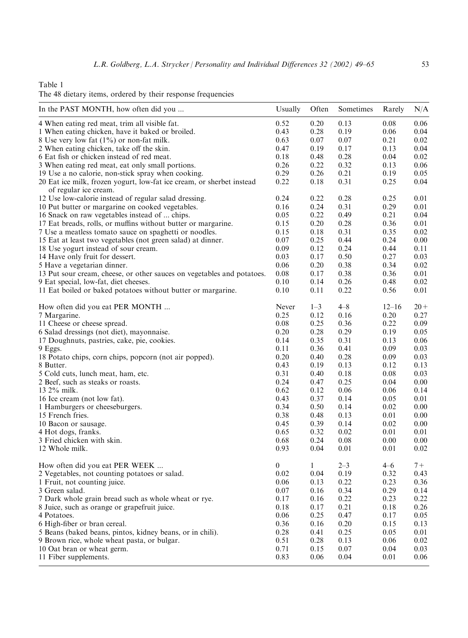Table 1

|  |  |  | The 48 dietary items, ordered by their response frequencies |  |
|--|--|--|-------------------------------------------------------------|--|
|  |  |  |                                                             |  |

| In the PAST MONTH, how often did you                                                           | Usually          | Often        | Sometimes | Rarely    | N/A      |
|------------------------------------------------------------------------------------------------|------------------|--------------|-----------|-----------|----------|
| 4 When eating red meat, trim all visible fat.                                                  | 0.52             | 0.20         | 0.13      | 0.08      | 0.06     |
| 1 When eating chicken, have it baked or broiled.                                               | 0.43             | 0.28         | 0.19      | 0.06      | 0.04     |
| 8 Use very low fat (1%) or non-fat milk.                                                       | 0.63             | 0.07         | 0.07      | 0.21      | 0.02     |
| 2 When eating chicken, take off the skin.                                                      | 0.47             | 0.19         | 0.17      | 0.13      | 0.04     |
| 6 Eat fish or chicken instead of red meat.                                                     | 0.18             | 0.48         | 0.28      | 0.04      | 0.02     |
| 3 When eating red meat, eat only small portions.                                               | 0.26             | 0.22         | 0.32      | 0.13      | 0.06     |
| 19 Use a no calorie, non-stick spray when cooking.                                             | 0.29             | 0.26         | 0.21      | 0.19      | 0.05     |
| 20 Eat ice milk, frozen yogurt, low-fat ice cream, or sherbet instead<br>of regular ice cream. | 0.22             | 0.18         | 0.31      | 0.25      | 0.04     |
| 12 Use low-calorie instead of regular salad dressing.                                          | 0.24             | 0.22         | 0.28      | 0.25      | 0.01     |
| 10 Put butter or margarine on cooked vegetables.                                               | 0.16             | 0.24         | 0.31      | 0.29      | 0.01     |
| 16 Snack on raw vegetables instead of  chips.                                                  | 0.05             | 0.22         | 0.49      | 0.21      | 0.04     |
| 17 Eat breads, rolls, or muffins without butter or margarine.                                  | 0.15             | 0.20         | 0.28      | 0.36      | 0.01     |
| 7 Use a meatless tomato sauce on spaghetti or noodles.                                         | 0.15             | 0.18         | 0.31      | 0.35      | 0.02     |
| 15 Eat at least two vegetables (not green salad) at dinner.                                    | 0.07             | 0.25         | 0.44      | 0.24      | $0.00\,$ |
| 18 Use yogurt instead of sour cream.                                                           | 0.09             | 0.12         | 0.24      | 0.44      | 0.11     |
| 14 Have only fruit for dessert.                                                                | 0.03             | 0.17         | 0.50      | 0.27      | 0.03     |
| 5 Have a vegetarian dinner.                                                                    | 0.06             | 0.20         | 0.38      | 0.34      | 0.02     |
| 13 Put sour cream, cheese, or other sauces on vegetables and potatoes.                         | 0.08             | 0.17         | 0.38      | 0.36      | 0.01     |
| 9 Eat special, low-fat, diet cheeses.                                                          | 0.10             | 0.14         | 0.26      | 0.48      | $0.02\,$ |
| 11 Eat boiled or baked potatoes without butter or margarine.                                   | 0.10             | 0.11         | 0.22      | 0.56      | 0.01     |
| How often did you eat PER MONTH                                                                | Never            | $1 - 3$      | $4 - 8$   | $12 - 16$ | $20 +$   |
| 7 Margarine.                                                                                   | 0.25             | 0.12         | 0.16      | 0.20      | 0.27     |
| 11 Cheese or cheese spread.                                                                    | 0.08             | 0.25         | 0.36      | 0.22      | 0.09     |
| 6 Salad dressings (not diet), mayonnaise.                                                      | 0.20             | 0.28         | 0.29      | 0.19      | 0.05     |
| 17 Doughnuts, pastries, cake, pie, cookies.                                                    | 0.14             | 0.35         | 0.31      | 0.13      | 0.06     |
| 9 Eggs.                                                                                        | 0.11             | 0.36         | 0.41      | 0.09      | 0.03     |
| 18 Potato chips, corn chips, popcorn (not air popped).                                         | 0.20             | 0.40         | 0.28      | 0.09      | 0.03     |
| 8 Butter.                                                                                      | 0.43             | 0.19         | 0.13      | 0.12      | 0.13     |
| 5 Cold cuts, lunch meat, ham, etc.                                                             | 0.31             | 0.40         | 0.18      | 0.08      | 0.03     |
| 2 Beef, such as steaks or roasts.                                                              | 0.24             | 0.47         | 0.25      | 0.04      | $0.00\,$ |
| 13 2% milk.                                                                                    | 0.62             | 0.12         | 0.06      | 0.06      | 0.14     |
| 16 Ice cream (not low fat).                                                                    | 0.43             | 0.37         | 0.14      | 0.05      | 0.01     |
| 1 Hamburgers or cheeseburgers.                                                                 | 0.34             | 0.50         | 0.14      | 0.02      | 0.00     |
| 15 French fries.                                                                               | 0.38             | 0.48         | 0.13      | 0.01      | $0.00\,$ |
| 10 Bacon or sausage.                                                                           | 0.45             | 0.39         | 0.14      | 0.02      | $0.00\,$ |
| 4 Hot dogs, franks.                                                                            | 0.65             | 0.32         | 0.02      | 0.01      | 0.01     |
| 3 Fried chicken with skin.                                                                     | 0.68             | 0.24         | 0.08      | 0.00      | 0.00     |
| 12 Whole milk.                                                                                 | 0.93             | 0.04         | 0.01      | 0.01      | 0.02     |
| How often did you eat PER WEEK                                                                 | $\boldsymbol{0}$ | $\mathbf{1}$ | $2 - 3$   | $4 - 6$   | $7 +$    |
| 2 Vegetables, not counting potatoes or salad.                                                  | 0.02             | 0.04         | 0.19      | 0.32      | 0.43     |
| 1 Fruit, not counting juice.                                                                   | 0.06             | 0.13         | 0.22      | 0.23      | 0.36     |
| 3 Green salad.                                                                                 | $0.07\,$         | 0.16         | 0.34      | 0.29      | 0.14     |
| 7 Dark whole grain bread such as whole wheat or rye.                                           | 0.17             | 0.16         | 0.22      | 0.23      | 0.22     |
| 8 Juice, such as orange or grapefruit juice.                                                   | 0.18             | 0.17         | 0.21      | 0.18      | 0.26     |
| 4 Potatoes.                                                                                    | 0.06             | 0.25         | 0.47      | 0.17      | 0.05     |
| 6 High-fiber or bran cereal.                                                                   | 0.36             | 0.16         | 0.20      | 0.15      | 0.13     |
| 5 Beans (baked beans, pintos, kidney beans, or in chili).                                      | 0.28             | 0.41         | 0.25      | 0.05      | 0.01     |
| 9 Brown rice, whole wheat pasta, or bulgar.                                                    | 0.51             | 0.28         | 0.13      | 0.06      | 0.02     |
| 10 Oat bran or wheat germ.                                                                     | 0.71             | 0.15         | 0.07      | 0.04      | 0.03     |
| 11 Fiber supplements.                                                                          | 0.83             | 0.06         | 0.04      | 0.01      | $0.06\,$ |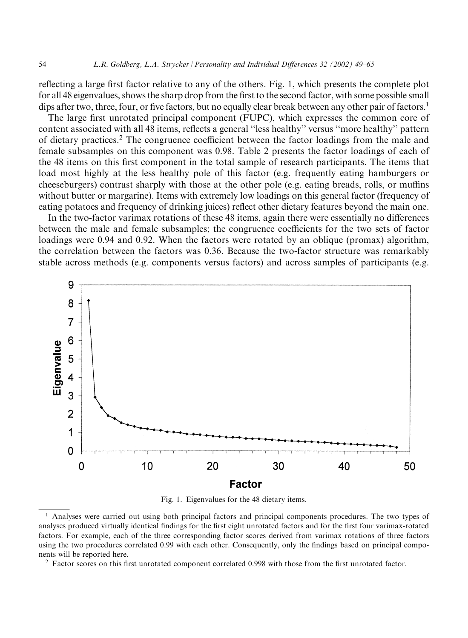reflecting a large first factor relative to any of the others. Fig. 1, which presents the complete plot for all 48 eigenvalues, shows the sharp drop from the first to the second factor, with some possible small dips after two, three, four, or five factors, but no equally clear break between any other pair of factors.<sup>1</sup>

The large first unrotated principal component (FUPC), which expresses the common core of content associated with all 48 items, reflects a general "less healthy" versus "more healthy" pattern of dietary practices.<sup>2</sup> The congruence coefficient between the factor loadings from the male and female subsamples on this component was 0.98. Table 2 presents the factor loadings of each of the 48 items on this first component in the total sample of research participants. The items that load most highly at the less healthy pole of this factor (e.g. frequently eating hamburgers or cheeseburgers) contrast sharply with those at the other pole (e.g. eating breads, rolls, or muffins without butter or margarine). Items with extremely low loadings on this general factor (frequency of eating potatoes and frequency of drinking juices) reflect other dietary features beyond the main one.

In the two-factor varimax rotations of these 48 items, again there were essentially no differences between the male and female subsamples; the congruence coefficients for the two sets of factor loadings were 0.94 and 0.92. When the factors were rotated by an oblique (promax) algorithm, the correlation between the factors was 0.36. Because the two-factor structure was remarkably stable across methods (e.g. components versus factors) and across samples of participants (e.g.



Fig. 1. Eigenvalues for the 48 dietary items.

<sup>2</sup> Factor scores on this first unrotated component correlated 0.998 with those from the first unrotated factor.

<sup>&</sup>lt;sup>1</sup> Analyses were carried out using both principal factors and principal components procedures. The two types of analyses produced virtually identical findings for the first eight unrotated factors and for the first four varimax-rotated factors. For example, each of the three corresponding factor scores derived from varimax rotations of three factors using the two procedures correlated 0.99 with each other. Consequently, only the findings based on principal components will be reported here.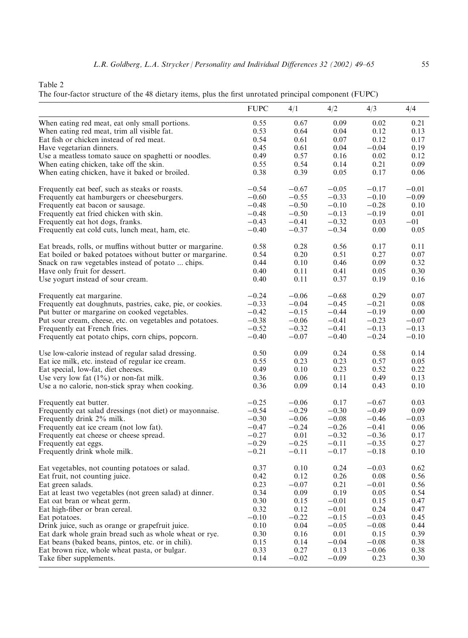| The four-factor structure of the 48 dietary items, plus the first unrotated principal component (FUPC) |  |  |  |  |
|--------------------------------------------------------------------------------------------------------|--|--|--|--|
|                                                                                                        |  |  |  |  |

|                                                            | <b>FUPC</b> | 4/1     | 4/2     | 4/3     | 4/4     |
|------------------------------------------------------------|-------------|---------|---------|---------|---------|
| When eating red meat, eat only small portions.             | 0.55        | 0.67    | 0.09    | 0.02    | 0.21    |
| When eating red meat, trim all visible fat.                | 0.53        | 0.64    | 0.04    | 0.12    | 0.13    |
| Eat fish or chicken instead of red meat.                   | 0.54        | 0.61    | 0.07    | 0.12    | 0.17    |
| Have vegetarian dinners.                                   | 0.45        | 0.61    | 0.04    | $-0.04$ | 0.19    |
| Use a meatless tomato sauce on spaghetti or noodles.       | 0.49        | 0.57    | 0.16    | 0.02    | 0.12    |
| When eating chicken, take off the skin.                    | 0.55        | 0.54    | 0.14    | 0.21    | 0.09    |
| When eating chicken, have it baked or broiled.             | 0.38        | 0.39    | 0.05    | 0.17    | 0.06    |
| Frequently eat beef, such as steaks or roasts.             | $-0.54$     | $-0.67$ | $-0.05$ | $-0.17$ | $-0.01$ |
| Frequently eat hamburgers or cheeseburgers.                | $-0.60$     | $-0.55$ | $-0.33$ | $-0.10$ | $-0.09$ |
| Frequently eat bacon or sausage.                           | $-0.48$     | $-0.50$ | $-0.10$ | $-0.28$ | 0.10    |
| Frequently eat fried chicken with skin.                    | $-0.48$     | $-0.50$ | $-0.13$ | $-0.19$ | 0.01    |
| Frequently eat hot dogs, franks.                           | $-0.43$     | $-0.41$ | $-0.32$ | 0.03    | $-01$   |
| Frequently eat cold cuts, lunch meat, ham, etc.            | $-0.40$     | $-0.37$ | $-0.34$ | 0.00    | 0.05    |
| Eat breads, rolls, or muffins without butter or margarine. | 0.58        | 0.28    | 0.56    | 0.17    | 0.11    |
| Eat boiled or baked potatoes without butter or margarine.  | 0.54        | 0.20    | 0.51    | 0.27    | 0.07    |
| Snack on raw vegetables instead of potato  chips.          | 0.44        | 0.10    | 0.46    | 0.09    | 0.32    |
| Have only fruit for dessert.                               | 0.40        | 0.11    | 0.41    | 0.05    | 0.30    |
| Use yogurt instead of sour cream.                          | 0.40        | 0.11    | 0.37    | 0.19    | 0.16    |
| Frequently eat margarine.                                  | $-0.24$     | $-0.06$ | $-0.68$ | 0.29    | 0.07    |
| Frequently eat doughnuts, pastries, cake, pie, or cookies. | $-0.33$     | $-0.04$ | $-0.45$ | $-0.21$ | 0.08    |
| Put butter or margarine on cooked vegetables.              | $-0.42$     | $-0.15$ | $-0.44$ | $-0.19$ | 0.00    |
| Put sour cream, cheese, etc. on vegetables and potatoes.   | $-0.38$     | $-0.06$ | $-0.41$ | $-0.23$ | $-0.07$ |
| Frequently eat French fries.                               | $-0.52$     | $-0.32$ | $-0.41$ | $-0.13$ | $-0.13$ |
| Frequently eat potato chips, corn chips, popcorn.          | $-0.40$     | $-0.07$ | $-0.40$ | $-0.24$ | $-0.10$ |
| Use low-calorie instead of regular salad dressing.         | 0.50        | 0.09    | 0.24    | 0.58    | 0.14    |
| Eat ice milk, etc. instead of regular ice cream.           | 0.55        | 0.23    | 0.23    | 0.57    | 0.05    |
| Eat special, low-fat, diet cheeses.                        | 0.49        | 0.10    | 0.23    | 0.52    | 0.22    |
| Use very low fat $(1\%)$ or non-fat milk.                  | 0.36        | 0.06    | 0.11    | 0.49    | 0.13    |
| Use a no calorie, non-stick spray when cooking.            | 0.36        | 0.09    | 0.14    | 0.43    | 0.10    |
| Frequently eat butter.                                     | $-0.25$     | $-0.06$ | 0.17    | $-0.67$ | 0.03    |
| Frequently eat salad dressings (not diet) or mayonnaise.   | $-0.54$     | $-0.29$ | $-0.30$ | $-0.49$ | 0.09    |
| Frequently drink 2% milk.                                  | $-0.30$     | $-0.06$ | $-0.08$ | $-0.46$ | $-0.03$ |
| Frequently eat ice cream (not low fat).                    | $-0.47$     | $-0.24$ | $-0.26$ | $-0.41$ | 0.06    |
| Frequently eat cheese or cheese spread.                    | $-0.27$     | 0.01    | $-0.32$ | $-0.36$ | 0.17    |
| Frequently eat eggs.                                       | $-0.29$     | $-0.25$ | $-0.11$ | $-0.35$ | 0.27    |
| Frequently drink whole milk.                               | $-0.21$     | $-0.11$ | $-0.17$ | $-0.18$ | 0.10    |
| Eat vegetables, not counting potatoes or salad.            | 0.37        | 0.10    | 0.24    | $-0.03$ | 0.62    |
| Eat fruit, not counting juice.                             | 0.42        | 0.12    | 0.26    | 0.08    | 0.56    |
| Eat green salads.                                          | 0.23        | $-0.07$ | 0.21    | $-0.01$ | 0.56    |
| Eat at least two vegetables (not green salad) at dinner.   | 0.34        | 0.09    | 0.19    | 0.05    | 0.54    |
| Eat oat bran or wheat germ.                                | 0.30        | 0.15    | $-0.01$ | 0.15    | 0.47    |
| Eat high-fiber or bran cereal.                             | 0.32        | 0.12    | $-0.01$ | 0.24    | 0.47    |
| Eat potatoes.                                              | $-0.10$     | $-0.22$ | $-0.15$ | $-0.03$ | 0.45    |
| Drink juice, such as orange or grapefruit juice.           | 0.10        | 0.04    | $-0.05$ | $-0.08$ | 0.44    |
| Eat dark whole grain bread such as whole wheat or rye.     | 0.30        | 0.16    | 0.01    | 0.15    | 0.39    |
| Eat beans (baked beans, pintos, etc. or in chili).         | 0.15        | 0.14    | $-0.04$ | $-0.08$ | 0.38    |
| Eat brown rice, whole wheat pasta, or bulgar.              | 0.33        | 0.27    | 0.13    | $-0.06$ | 0.38    |
| Take fiber supplements.                                    | 0.14        | $-0.02$ | $-0.09$ | 0.23    | 0.30    |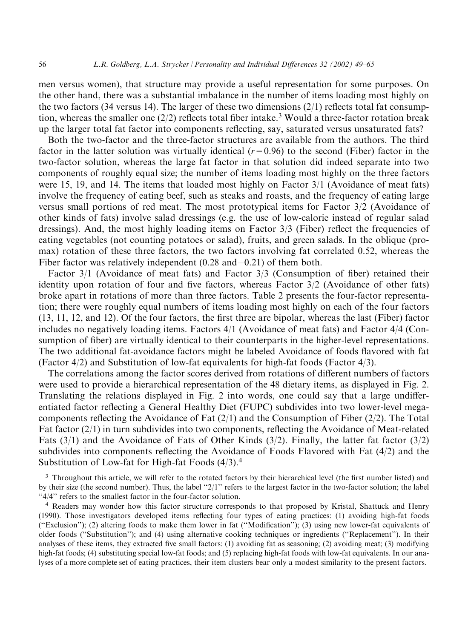men versus women), that structure may provide a useful representation for some purposes. On the other hand, there was a substantial imbalance in the number of items loading most highly on the two factors (34 versus 14). The larger of these two dimensions  $(2/1)$  reflects total fat consumption, whereas the smaller one (2/2) reflects total fiber intake.<sup>3</sup> Would a three-factor rotation break up the larger total fat factor into components reflecting, say, saturated versus unsaturated fats?

Both the two-factor and the three-factor structures are available from the authors. The third factor in the latter solution was virtually identical  $(r=0.96)$  to the second (Fiber) factor in the two-factor solution, whereas the large fat factor in that solution did indeed separate into two components of roughly equal size; the number of items loading most highly on the three factors were 15, 19, and 14. The items that loaded most highly on Factor  $3/1$  (Avoidance of meat fats) involve the frequency of eating beef, such as steaks and roasts, and the frequency of eating large versus small portions of red meat. The most prototypical items for Factor 3/2 (Avoidance of other kinds of fats) involve salad dressings (e.g. the use of low-calorie instead of regular salad dressings). And, the most highly loading items on Factor  $3/3$  (Fiber) reflect the frequencies of eating vegetables (not counting potatoes or salad), fruits, and green salads. In the oblique (promax) rotation of these three factors, the two factors involving fat correlated 0.52, whereas the Fiber factor was relatively independent  $(0.28 \text{ and } -0.21)$  of them both.

Factor  $3/1$  (Avoidance of meat fats) and Factor  $3/3$  (Consumption of fiber) retained their identity upon rotation of four and five factors, whereas Factor  $3/2$  (Avoidance of other fats) broke apart in rotations of more than three factors. Table 2 presents the four-factor representation; there were roughly equal numbers of items loading most highly on each of the four factors (13, 11, 12, and 12). Of the four factors, the first three are bipolar, whereas the last (Fiber) factor includes no negatively loading items. Factors 4/1 (Avoidance of meat fats) and Factor 4/4 (Consumption of fiber) are virtually identical to their counterparts in the higher-level representations. The two additional fat-avoidance factors might be labeled Avoidance of foods flavored with fat (Factor  $4/2$ ) and Substitution of low-fat equivalents for high-fat foods (Factor  $4/3$ ).

The correlations among the factor scores derived from rotations of different numbers of factors were used to provide a hierarchical representation of the 48 dietary items, as displayed in Fig. 2. Translating the relations displayed in Fig. 2 into words, one could say that a large undifferentiated factor reflecting a General Healthy Diet (FUPC) subdivides into two lower-level megacomponents reflecting the Avoidance of Fat  $(2/1)$  and the Consumption of Fiber  $(2/2)$ . The Total Fat factor  $(2/1)$  in turn subdivides into two components, reflecting the Avoidance of Meat-related Fats  $(3/1)$  and the Avoidance of Fats of Other Kinds  $(3/2)$ . Finally, the latter fat factor  $(3/2)$ subdivides into components reflecting the Avoidance of Foods Flavored with Fat (4/2) and the Substitution of Low-fat for High-fat Foods  $(4/3).<sup>4</sup>$ 

<sup>&</sup>lt;sup>3</sup> Throughout this article, we will refer to the rotated factors by their hierarchical level (the first number listed) and by their size (the second number). Thus, the label " $2/1$ " refers to the largest factor in the two-factor solution; the label "4/4" refers to the smallest factor in the four-factor solution.

<sup>&</sup>lt;sup>4</sup> Readers may wonder how this factor structure corresponds to that proposed by Kristal, Shattuck and Henry (1990). Those investigators developed items reflecting four types of eating practices: (1) avoiding high-fat foods ("Exclusion"); (2) altering foods to make them lower in fat ("Modification"); (3) using new lower-fat equivalents of older foods ("Substitution"); and (4) using alternative cooking techniques or ingredients ("Replacement"). In their analyses of these items, they extracted five small factors: (1) avoiding fat as seasoning; (2) avoiding meat; (3) modifying high-fat foods; (4) substituting special low-fat foods; and (5) replacing high-fat foods with low-fat equivalents. In our analyses of a more complete set of eating practices, their item clusters bear only a modest similarity to the present factors.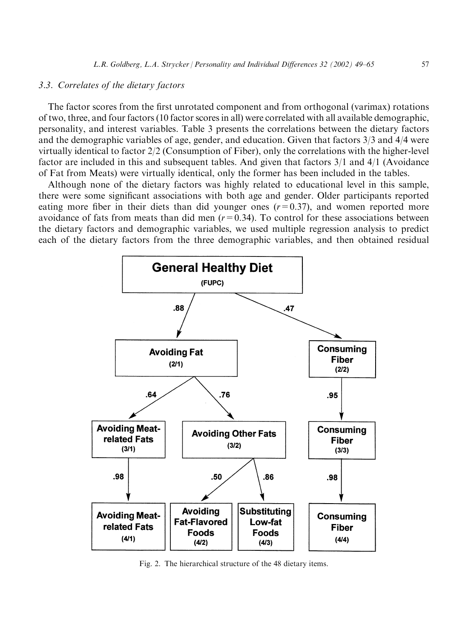#### 3.3. Correlates of the dietary factors

The factor scores from the first unrotated component and from orthogonal (varimax) rotations of two, three, and four factors (10 factor scores in all) were correlated with all available demographic, personality, and interest variables. Table 3 presents the correlations between the dietary factors and the demographic variables of age, gender, and education. Given that factors  $3/3$  and  $4/4$  were virtually identical to factor  $2/2$  (Consumption of Fiber), only the correlations with the higher-level factor are included in this and subsequent tables. And given that factors  $3/1$  and  $4/1$  (Avoidance of Fat from Meats) were virtually identical, only the former has been included in the tables.

Although none of the dietary factors was highly related to educational level in this sample, there were some significant associations with both age and gender. Older participants reported eating more fiber in their diets than did younger ones  $(r=0.37)$ , and women reported more avoidance of fats from meats than did men  $(r=0.34)$ . To control for these associations between the dietary factors and demographic variables, we used multiple regression analysis to predict each of the dietary factors from the three demographic variables, and then obtained residual



Fig. 2. The hierarchical structure of the 48 dietary items.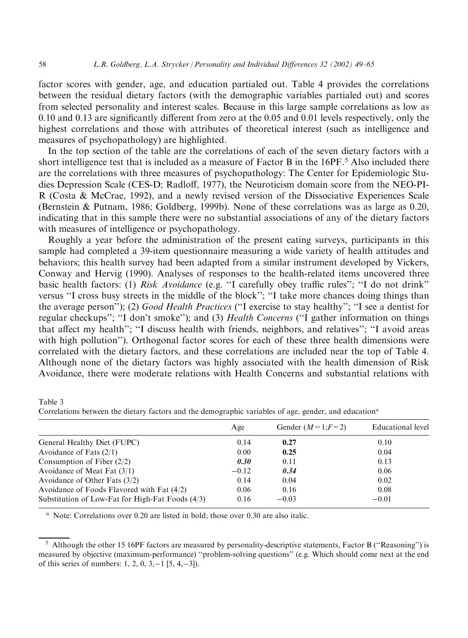factor scores with gender, age, and education partialed out. Table 4 provides the correlations between the residual dietary factors (with the demographic variables partialed out) and scores from selected personality and interest scales. Because in this large sample correlations as low as 0.10 and 0.13 are significantly different from zero at the 0.05 and 0.01 levels respectively, only the highest correlations and those with attributes of theoretical interest (such as intelligence and measures of psychopathology) are highlighted.

In the top section of the table are the correlations of each of the seven dietary factors with a short intelligence test that is included as a measure of Factor B in the 16PF.<sup>5</sup> Also included there are the correlations with three measures of psychopathology: The Center for Epidemiologic Studies Depression Scale (CES-D; Radloff, 1977), the Neuroticism domain score from the NEO-PI-R (Costa & McCrae, 1992), and a newly revised version of the Dissociative Experiences Scale (Bernstein & Putnam, 1986; Goldberg, 1999b). None of these correlations was as large as 0.20, indicating that in this sample there were no substantial associations of any of the dietary factors with measures of intelligence or psychopathology.

Roughly a year before the administration of the present eating surveys, participants in this sample had completed a 39-item questionnaire measuring a wide variety of health attitudes and behaviors; this health survey had been adapted from a similar instrument developed by Vickers, Conway and Hervig (1990). Analyses of responses to the health-related items uncovered three basic health factors: (1) Risk Avoidance (e.g. "I carefully obey traffic rules"; "I do not drink" versus "I cross busy streets in the middle of the block"; "I take more chances doing things than the average person"); (2) Good Health Practices ("I exercise to stay healthy"; "I see a dentist for regular checkups"; "I don't smoke"); and (3) Health Concerns ("I gather information on things that affect my health"; "I discuss health with friends, neighbors, and relatives"; "I avoid areas with high pollution"). Orthogonal factor scores for each of these three health dimensions were correlated with the dietary factors, and these correlations are included near the top of Table 4. Although none of the dietary factors was highly associated with the health dimension of Risk Avoidance, there were moderate relations with Health Concerns and substantial relations with

Table 3 Correlations between the dietary factors and the demographic variables of age, gender, and education<sup>a</sup>

| Age     | Gender $(M=1;F=2)$ | Educational level |
|---------|--------------------|-------------------|
| 0.14    | 0.27               | 0.10              |
| 0.00    | 0.25               | 0.04              |
| 0.30    | 0.11               | 0.13              |
| $-0.12$ | 0.34               | 0.06              |
| 0.14    | 0.04               | 0.02              |
| 0.06    | 0.16               | 0.08              |
| 0.16    | $-0.03$            | $-0.01$           |
|         |                    |                   |

<sup>a</sup> Note: Correlations over 0.20 are listed in bold; those over 0.30 are also italic.

58

<sup>&</sup>lt;sup>5</sup> Although the other 15 16PF factors are measured by personality-descriptive statements, Factor B ("Reasoning") is measured by objective (maximum-performance) "problem-solving questions" (e.g. Which should come next at the end of this series of numbers: 1, 2, 0, 3, -1 [5, 4, -3]).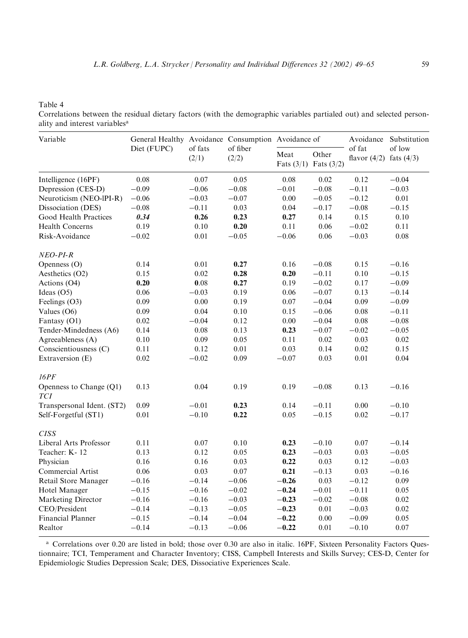Table 4

Correlations between the residual dietary factors (with the demographic variables partialed out) and selected personality and interest variables<sup>a</sup>

| Variable                              | General Healthy Avoidance Consumption Avoidance of |                  |                   |          |                                    | Avoidance                             | Substitution |
|---------------------------------------|----------------------------------------------------|------------------|-------------------|----------|------------------------------------|---------------------------------------|--------------|
|                                       | Diet (FUPC)                                        | of fats<br>(2/1) | of fiber<br>(2/2) | Meat     | Other<br>Fats $(3/1)$ Fats $(3/2)$ | of fat<br>flavor $(4/2)$ fats $(4/3)$ | of low       |
| Intelligence (16PF)                   | 0.08                                               | 0.07             | 0.05              | 0.08     | 0.02                               | 0.12                                  | $-0.04$      |
| Depression (CES-D)                    | $-0.09$                                            | $-0.06$          | $-0.08$           | $-0.01$  | $-0.08$                            | $-0.11$                               | $-0.03$      |
| Neuroticism (NEO-lPI-R)               | $-0.06$                                            | $-0.03$          | $-0.07$           | 0.00     | $-0.05$                            | $-0.12$                               | 0.01         |
| Dissociation (DES)                    | $-0.08$                                            | $-0.11$          | 0.03              | 0.04     | $-0.17$                            | $-0.08$                               | $-0.15$      |
| Good Health Practices                 | 0.34                                               | 0.26             | 0.23              | 0.27     | 0.14                               | 0.15                                  | $0.10\,$     |
| <b>Health Concerns</b>                | 0.19                                               | 0.10             | 0.20              | 0.11     | 0.06                               | $-0.02$                               | 0.11         |
| Risk-Avoidance                        | $-0.02$                                            | 0.01             | $-0.05$           | $-0.06$  | 0.06                               | $-0.03$                               | 0.08         |
| NEO-PI-R                              |                                                    |                  |                   |          |                                    |                                       |              |
| Openness (O)                          | 0.14                                               | 0.01             | 0.27              | 0.16     | $-0.08$                            | 0.15                                  | $-0.16$      |
| Aesthetics (O2)                       | 0.15                                               | 0.02             | 0.28              | 0.20     | $-0.11$                            | 0.10                                  | $-0.15$      |
| Actions (O4)                          | 0.20                                               | 0.08             | 0.27              | 0.19     | $-0.02$                            | 0.17                                  | $-0.09$      |
| Ideas (O5)                            | 0.06                                               | $-0.03$          | 0.19              | 0.06     | $-0.07$                            | 0.13                                  | $-0.14$      |
| Feelings (O3)                         | 0.09                                               | 0.00             | 0.19              | 0.07     | $-0.04$                            | 0.09                                  | $-0.09$      |
| Values (O6)                           | 0.09                                               | 0.04             | 0.10              | 0.15     | $-0.06$                            | $0.08\,$                              | $-0.11$      |
| Fantasy (O1)                          | 0.02                                               | $-0.04$          | 0.12              | $0.00\,$ | $-0.04$                            | $0.08\,$                              | $-0.08$      |
| Tender-Mindedness (A6)                | 0.14                                               | 0.08             | 0.13              | 0.23     | $-0.07$                            | $-0.02$                               | $-0.05$      |
| Agreeableness (A)                     | 0.10                                               | 0.09             | 0.05              | 0.11     | 0.02                               | 0.03                                  | 0.02         |
| Conscientiousness (C)                 | 0.11                                               | 0.12             | 0.01              | 0.03     | 0.14                               | 0.02                                  | 0.15         |
| Extraversion (E)                      | 0.02                                               | $-0.02$          | 0.09              | $-0.07$  | 0.03                               | 0.01                                  | 0.04         |
| 16PF                                  |                                                    |                  |                   |          |                                    |                                       |              |
| Openness to Change (Q1)<br><b>TCI</b> | 0.13                                               | 0.04             | 0.19              | 0.19     | $-0.08$                            | 0.13                                  | $-0.16$      |
| Transpersonal Ident. (ST2)            | 0.09                                               | $-0.01$          | 0.23              | 0.14     | $-0.11$                            | 0.00                                  | $-0.10$      |
| Self-Forgetful (ST1)                  | 0.01                                               | $-0.10$          | 0.22              | 0.05     | $-0.15$                            | 0.02                                  | $-0.17$      |
| <b>CISS</b>                           |                                                    |                  |                   |          |                                    |                                       |              |
| Liberal Arts Professor                | 0.11                                               | 0.07             | 0.10              | 0.23     | $-0.10$                            | 0.07                                  | $-0.14$      |
| Teacher: K-12                         | 0.13                                               | 0.12             | 0.05              | 0.23     | $-0.03$                            | 0.03                                  | $-0.05$      |
| Physician                             | 0.16                                               | 0.16             | 0.03              | 0.22     | 0.03                               | 0.12                                  | $-0.03$      |
| Commercial Artist                     | 0.06                                               | 0.03             | 0.07              | 0.21     | $-0.13$                            | 0.03                                  | $-0.16$      |
| Retail Store Manager                  | $-0.16$                                            | $-0.14$          | $-0.06$           | $-0.26$  | 0.03                               | $-0.12$                               | 0.09         |
| Hotel Manager                         | $-0.15$                                            | $-0.16$          | $-0.02$           | $-0.24$  | $-0.01$                            | $-0.11$                               | 0.05         |
| Marketing Director                    | $-0.16$                                            | $-0.16$          | $-0.03$           | $-0.23$  | $-0.02$                            | $-0.08$                               | 0.02         |
| CEO/President                         | $-0.14$                                            | $-0.13$          | $-0.05$           | $-0.23$  | 0.01                               | $-0.03$                               | 0.02         |
| Financial Planner                     | $-0.15$                                            | $-0.14$          | $-0.04$           | $-0.22$  | $0.00\,$                           | $-0.09$                               | 0.05         |
| Realtor                               | $-0.14$                                            | $-0.13$          | $-0.06$           | $-0.22$  | 0.01                               | $-0.10$                               | 0.07         |

<sup>a</sup> Correlations over 0.20 are listed in bold; those over 0.30 are also in italic. 16PF, Sixteen Personality Factors Questionnaire; TCI, Temperament and Character Inventory; CISS, Campbell Interests and Skills Survey; CES-D, Center for Epidemiologic Studies Depression Scale; DES, Dissociative Experiences Scale.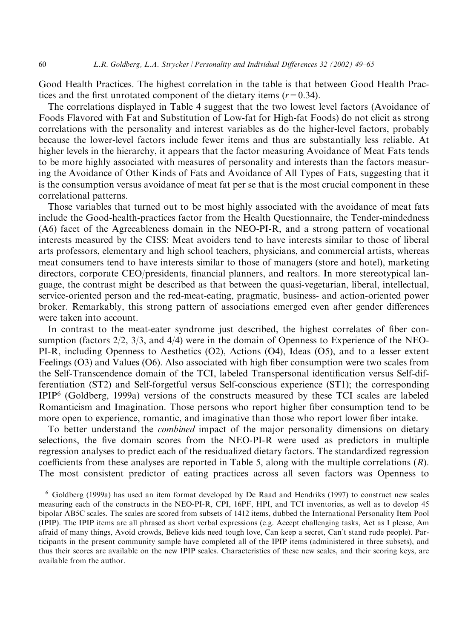Good Health Practices. The highest correlation in the table is that between Good Health Practices and the first unrotated component of the dietary items  $(r=0.34)$ .

The correlations displayed in Table 4 suggest that the two lowest level factors (Avoidance of Foods Flavored with Fat and Substitution of Low-fat for High-fat Foods) do not elicit as strong correlations with the personality and interest variables as do the higher-level factors, probably because the lower-level factors include fewer items and thus are substantially less reliable. At higher levels in the hierarchy, it appears that the factor measuring Avoidance of Meat Fats tends to be more highly associated with measures of personality and interests than the factors measuring the Avoidance of Other Kinds of Fats and Avoidance of All Types of Fats, suggesting that it is the consumption versus avoidance of meat fat per se that is the most crucial component in these correlational patterns.

Those variables that turned out to be most highly associated with the avoidance of meat fats include the Good-health-practices factor from the Health Questionnaire, the Tender-mindedness (A6) facet of the Agreeableness domain in the NEO-PI-R, and a strong pattern of vocational interests measured by the CISS: Meat avoiders tend to have interests similar to those of liberal arts professors, elementary and high school teachers, physicians, and commercial artists, whereas meat consumers tend to have interests similar to those of managers (store and hotel), marketing directors, corporate CEO/presidents, financial planners, and realtors. In more stereotypical language, the contrast might be described as that between the quasi-vegetarian, liberal, intellectual, service-oriented person and the red-meat-eating, pragmatic, business- and action-oriented power broker. Remarkably, this strong pattern of associations emerged even after gender differences were taken into account.

In contrast to the meat-eater syndrome just described, the highest correlates of fiber consumption (factors  $2/2$ ,  $3/3$ , and  $4/4$ ) were in the domain of Openness to Experience of the NEO-PI-R, including Openness to Aesthetics  $(O2)$ , Actions  $(O4)$ , Ideas  $(O5)$ , and to a lesser extent Feelings (O3) and Values (O6). Also associated with high fiber consumption were two scales from the Self-Transcendence domain of the TCI, labeled Transpersonal identification versus Self-differentiation (ST2) and Self-forgetful versus Self-conscious experience (ST1); the corresponding IPIP<sup>6</sup> (Goldberg, 1999a) versions of the constructs measured by these TCI scales are labeled Romanticism and Imagination. Those persons who report higher fiber consumption tend to be more open to experience, romantic, and imaginative than those who report lower fiber intake.

To better understand the *combined* impact of the major personality dimensions on dietary selections, the five domain scores from the NEO-PI-R were used as predictors in multiple regression analyses to predict each of the residualized dietary factors. The standardized regression coefficients from these analyses are reported in Table 5, along with the multiple correlations  $(R)$ . The most consistent predictor of eating practices across all seven factors was Openness to

<sup>&</sup>lt;sup>6</sup> Goldberg (1999a) has used an item format developed by De Raad and Hendriks (1997) to construct new scales measuring each of the constructs in the NEO-PI-R, CPI, 16PF, HPI, and TCI inventories, as well as to develop 45 bipolar AB5C scales. The scales are scored from subsets of 1412 items, dubbed the International Personality Item Pool (IPIP). The IPIP items are all phrased as short verbal expressions (e.g. Accept challenging tasks, Act as I please, Am afraid of many things, Avoid crowds, Believe kids need tough love, Can keep a secret, Can't stand rude people). Participants in the present community sample have completed all of the IPIP items (administered in three subsets), and thus their scores are available on the new IPIP scales. Characteristics of these new scales, and their scoring keys, are available from the author.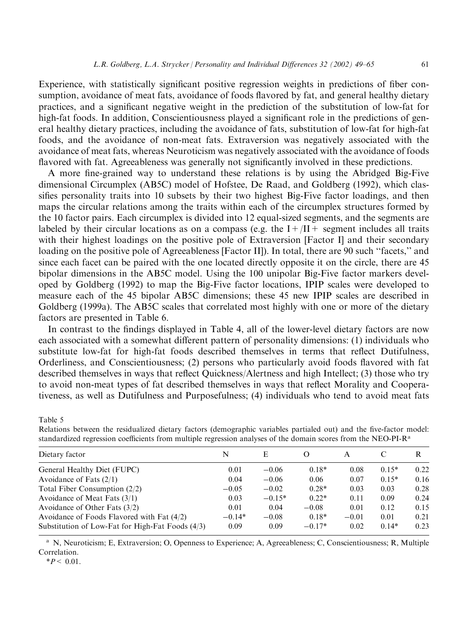Experience, with statistically significant positive regression weights in predictions of fiber consumption, avoidance of meat fats, avoidance of foods flavored by fat, and general healthy dietary practices, and a significant negative weight in the prediction of the substitution of low-fat for high-fat foods. In addition, Conscientiousness played a significant role in the predictions of general healthy dietary practices, including the avoidance of fats, substitution of low-fat for high-fat foods, and the avoidance of non-meat fats. Extraversion was negatively associated with the avoidance of meat fats, whereas Neuroticism was negatively associated with the avoidance of foods flavored with fat. Agreeableness was generally not significantly involved in these predictions.

A more fine-grained way to understand these relations is by using the Abridged Big-Five dimensional Circumplex (AB5C) model of Hofstee, De Raad, and Goldberg (1992), which classifies personality traits into 10 subsets by their two highest Big-Five factor loadings, and then maps the circular relations among the traits within each of the circumplex structures formed by the 10 factor pairs. Each circumplex is divided into 12 equal-sized segments, and the segments are labeled by their circular locations as on a compass (e.g. the  $I + /II +$  segment includes all traits with their highest loadings on the positive pole of Extraversion [Factor I] and their secondary loading on the positive pole of Agreeableness [Factor II]). In total, there are 90 such "facets," and since each facet can be paired with the one located directly opposite it on the circle, there are 45 bipolar dimensions in the AB5C model. Using the 100 unipolar Big-Five factor markers developed by Goldberg (1992) to map the Big-Five factor locations, IPIP scales were developed to measure each of the 45 bipolar AB5C dimensions; these 45 new IPIP scales are described in Goldberg (1999a). The AB5C scales that correlated most highly with one or more of the dietary factors are presented in Table 6.

In contrast to the findings displayed in Table 4, all of the lower-level dietary factors are now each associated with a somewhat different pattern of personality dimensions: (1) individuals who substitute low-fat for high-fat foods described themselves in terms that reflect Dutifulness, Orderliness, and Conscientiousness; (2) persons who particularly avoid foods flavored with fat described themselves in ways that reflect Quickness/Alertness and high Intellect; (3) those who try to avoid non-meat types of fat described themselves in ways that reflect Morality and Cooperativeness, as well as Dutifulness and Purposefulness; (4) individuals who tend to avoid meat fats

Table 5

Relations between the residualized dietary factors (demographic variables partialed out) and the five-factor model: standardized regression coefficients from multiple regression analyses of the domain scores from the NEO-PI-R<sup>a</sup>

| Dietary factor                                     | N        | E        | $\Omega$ |         |         | R    |
|----------------------------------------------------|----------|----------|----------|---------|---------|------|
| General Healthy Diet (FUPC)                        | 0.01     | $-0.06$  | $0.18*$  | 0.08    | $0.15*$ | 0.22 |
| Avoidance of Fats $(2/1)$                          | 0.04     | $-0.06$  | 0.06     | 0.07    | $0.15*$ | 0.16 |
| Total Fiber Consumption $(2/2)$                    | $-0.05$  | $-0.02$  | $0.28*$  | 0.03    | 0.03    | 0.28 |
| Avoidance of Meat Fats $(3/1)$                     | 0.03     | $-0.15*$ | $0.22*$  | 0.11    | 0.09    | 0.24 |
| Avoidance of Other Fats $(3/2)$                    | 0.01     | 0.04     | $-0.08$  | 0.01    | 0.12    | 0.15 |
| Avoidance of Foods Flavored with Fat (4/2)         | $-0.14*$ | $-0.08$  | $0.18*$  | $-0.01$ | 0.01    | 0.21 |
| Substitution of Low-Fat for High-Fat Foods $(4/3)$ | 0.09     | 0.09     | $-0.17*$ | 0.02    | $0.14*$ | 0.23 |
|                                                    |          |          |          |         |         |      |

<sup>a</sup> N, Neuroticism; E, Extraversion; O, Openness to Experience; A, Agreeableness; C, Conscientiousness; R, Multiple Correlation.

 $*P < 0.01$ .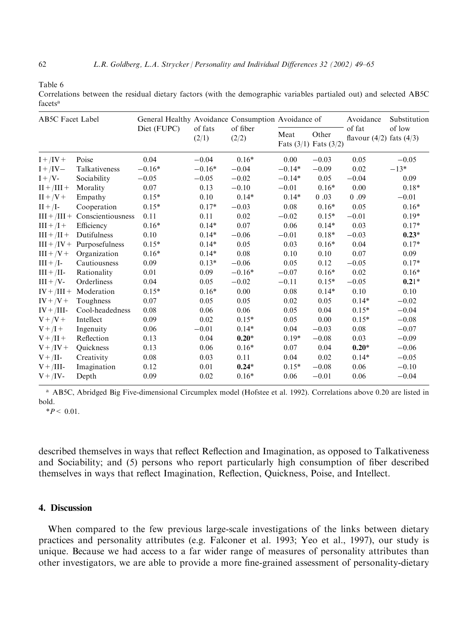Table 6

Correlations between the residual dietary factors (with the demographic variables partialed out) and selected AB5C facets<sup>a</sup>

| <b>AB5C</b> Facet Label |                                  | General Healthy Avoidance Consumption Avoidance of |                  |                   |          |                                    | Avoidance                              | Substitution |  |
|-------------------------|----------------------------------|----------------------------------------------------|------------------|-------------------|----------|------------------------------------|----------------------------------------|--------------|--|
|                         |                                  | Diet (FUPC)                                        | of fats<br>(2/1) | of fiber<br>(2/2) | Meat     | Other<br>Fats $(3/1)$ Fats $(3/2)$ | of fat<br>flavour $(4/2)$ fats $(4/3)$ | of low       |  |
| $I + / IV +$            | Poise                            | 0.04                                               | $-0.04$          | $0.16*$           | 0.00     | $-0.03$                            | 0.05                                   | $-0.05$      |  |
| $I + /IV -$             | Talkativeness                    | $-0.16*$                                           | $-0.16*$         | $-0.04$           | $-0.14*$ | $-0.09$                            | $0.02\,$                               | $-13*$       |  |
| $I + /V$ -              | Sociability                      | $-0.05$                                            | $-0.05$          | $-0.02$           | $-0.14*$ | 0.05                               | $-0.04$                                | 0.09         |  |
| $II + / III +$          | Morality                         | 0.07                                               | 0.13             | $-0.10$           | $-0.01$  | $0.16*$                            | 0.00                                   | $0.18*$      |  |
| $II + /V +$             | Empathy                          | $0.15*$                                            | 0.10             | $0.14*$           | $0.14*$  | 0.03                               | 0.09                                   | $-0.01$      |  |
| $II + /I$               | Cooperation                      | $0.15*$                                            | $0.17*$          | $-0.03$           | 0.08     | $0.16*$                            | 0.05                                   | $0.16*$      |  |
|                         | $III + /III +$ Conscientiousness | 0.11                                               | 0.11             | 0.02              | $-0.02$  | $0.15*$                            | $-0.01$                                | $0.19*$      |  |
| $III + /I +$            | Efficiency                       | $0.16*$                                            | $0.14*$          | 0.07              | 0.06     | $0.14*$                            | 0.03                                   | $0.17*$      |  |
| $III + / II +$          | Dutifulness                      | 0.10                                               | $0.14*$          | $-0.06$           | $-0.01$  | $0.18*$                            | $-0.03$                                | $0.23*$      |  |
|                         | $III + /IV +$ Purposefulness     | $0.15*$                                            | $0.14*$          | 0.05              | 0.03     | $0.16*$                            | 0.04                                   | $0.17*$      |  |
| $III + /V +$            | Organization                     | $0.16*$                                            | $0.14*$          | 0.08              | 0.10     | 0.10                               | 0.07                                   | 0.09         |  |
| $III + /I$              | Cautiousness                     | 0.09                                               | $0.13*$          | $-0.06$           | 0.05     | 0.12                               | $-0.05$                                | $0.17*$      |  |
| $III + / II$            | Rationality                      | 0.01                                               | 0.09             | $-0.16*$          | $-0.07$  | $0.16*$                            | 0.02                                   | $0.16*$      |  |
| $III + /V$ -            | Orderliness                      | 0.04                                               | 0.05             | $-0.02$           | $-0.11$  | $0.15*$                            | $-0.05$                                | $0.21*$      |  |
|                         | $IV + / III +$ Moderation        | $0.15*$                                            | $0.16*$          | 0.00              | 0.08     | $0.14*$                            | 0.10                                   | 0.10         |  |
| $IV + /V +$             | Toughness                        | 0.07                                               | 0.05             | 0.05              | 0.02     | 0.05                               | $0.14*$                                | $-0.02$      |  |
| $IV + / III$ -          | Cool-headedness                  | 0.08                                               | 0.06             | 0.06              | 0.05     | 0.04                               | $0.15*$                                | $-0.04$      |  |
| $V + /V +$              | Intellect                        | 0.09                                               | 0.02             | $0.15*$           | 0.05     | 0.00                               | $0.15*$                                | $-0.08$      |  |
| $V + /I +$              | Ingenuity                        | 0.06                                               | $-0.01$          | $0.14*$           | 0.04     | $-0.03$                            | 0.08                                   | $-0.07$      |  |
| $V + / II +$            | Reflection                       | 0.13                                               | 0.04             | $0.20*$           | $0.19*$  | $-0.08$                            | 0.03                                   | $-0.09$      |  |
| $V + / IV +$            | <b>Ouickness</b>                 | 0.13                                               | 0.06             | $0.16*$           | 0.07     | 0.04                               | $0.20*$                                | $-0.06$      |  |
| $V + / II$              | Creativity                       | $0.08\,$                                           | 0.03             | 0.11              | 0.04     | 0.02                               | $0.14*$                                | $-0.05$      |  |
| $V + /III$ -            | Imagination                      | 0.12                                               | 0.01             | $0.24*$           | $0.15*$  | $-0.08$                            | 0.06                                   | $-0.10$      |  |
| $V + /IV$               | Depth                            | 0.09                                               | 0.02             | $0.16*$           | 0.06     | $-0.01$                            | 0.06                                   | $-0.04$      |  |

<sup>a</sup> AB5C, Abridged Big Five-dimensional Circumplex model (Hofstee et al. 1992). Correlations above 0.20 are listed in bold.

 $*P < 0.01$ .

described themselves in ways that reflect Reflection and Imagination, as opposed to Talkativeness and Sociability; and (5) persons who report particularly high consumption of fiber described themselves in ways that reflect Imagination, Reflection, Quickness, Poise, and Intellect.

## 4. Discussion

When compared to the few previous large-scale investigations of the links between dietary practices and personality attributes (e.g. Falconer et al. 1993; Yeo et al., 1997), our study is unique. Because we had access to a far wider range of measures of personality attributes than other investigators, we are able to provide a more fine-grained assessment of personality-dietary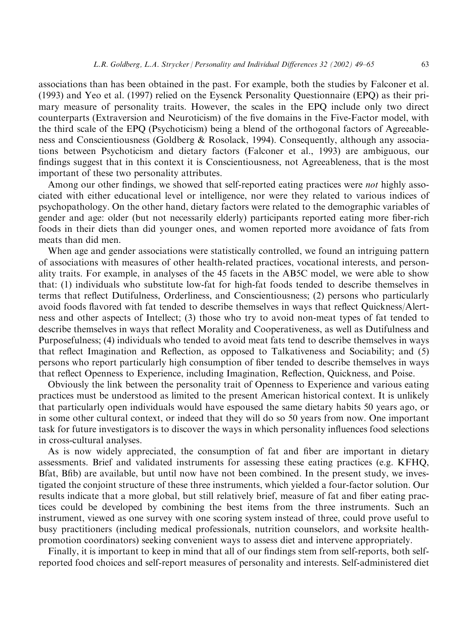associations than has been obtained in the past. For example, both the studies by Falconer et al. (1993) and Yeo et al. (1997) relied on the Eysenck Personality Questionnaire (EPQ) as their primary measure of personality traits. However, the scales in the EPQ include only two direct counterparts (Extraversion and Neuroticism) of the five domains in the Five-Factor model, with the third scale of the EPQ (Psychoticism) being a blend of the orthogonal factors of Agreeableness and Conscientiousness (Goldberg & Rosolack, 1994). Consequently, although any associations between Psychoticism and dietary factors (Falconer et al., 1993) are ambiguous, our findings suggest that in this context it is Conscientiousness, not Agreeableness, that is the most important of these two personality attributes.

Among our other findings, we showed that self-reported eating practices were *not* highly associated with either educational level or intelligence, nor were they related to various indices of psychopathology. On the other hand, dietary factors were related to the demographic variables of gender and age: older (but not necessarily elderly) participants reported eating more fiber-rich foods in their diets than did younger ones, and women reported more avoidance of fats from meats than did men.

When age and gender associations were statistically controlled, we found an intriguing pattern of associations with measures of other health-related practices, vocational interests, and personality traits. For example, in analyses of the 45 facets in the AB5C model, we were able to show that: (1) individuals who substitute low-fat for high-fat foods tended to describe themselves in terms that reflect Dutifulness, Orderliness, and Conscientiousness; (2) persons who particularly avoid foods flavored with fat tended to describe themselves in ways that reflect Quickness/Alertness and other aspects of Intellect; (3) those who try to avoid non-meat types of fat tended to describe themselves in ways that reflect Morality and Cooperativeness, as well as Dutifulness and Purposefulness; (4) individuals who tended to avoid meat fats tend to describe themselves in ways that reflect Imagination and Reflection, as opposed to Talkativeness and Sociability; and (5) persons who report particularly high consumption of fiber tended to describe themselves in ways that reflect Openness to Experience, including Imagination, Reflection, Quickness, and Poise.

Obviously the link between the personality trait of Openness to Experience and various eating practices must be understood as limited to the present American historical context. It is unlikely that particularly open individuals would have espoused the same dietary habits 50 years ago, or in some other cultural context, or indeed that they will do so 50 years from now. One important task for future investigators is to discover the ways in which personality influences food selections in cross-cultural analyses.

As is now widely appreciated, the consumption of fat and fiber are important in dietary assessments. Brief and validated instruments for assessing these eating practices (e.g. KFHQ, Bfat, Bfib) are available, but until now have not been combined. In the present study, we investigated the conjoint structure of these three instruments, which yielded a four-factor solution. Our results indicate that a more global, but still relatively brief, measure of fat and fiber eating practices could be developed by combining the best items from the three instruments. Such an instrument, viewed as one survey with one scoring system instead of three, could prove useful to busy practitioners (including medical professionals, nutrition counselors, and worksite healthpromotion coordinators) seeking convenient ways to assess diet and intervene appropriately.

Finally, it is important to keep in mind that all of our findings stem from self-reports, both selfreported food choices and self-report measures of personality and interests. Self-administered diet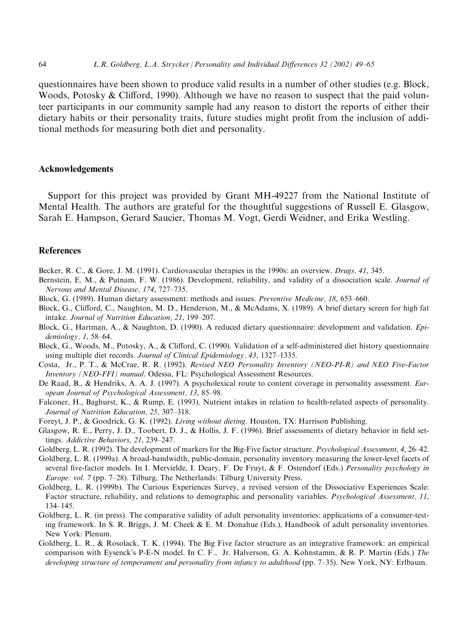questionnaires have been shown to produce valid results in a number of other studies (e.g. Block, Woods, Potosky & Clifford, 1990). Although we have no reason to suspect that the paid volunteer participants in our community sample had any reason to distort the reports of either their dietary habits or their personality traits, future studies might profit from the inclusion of additional methods for measuring both diet and personality.

#### **Acknowledgements**

Support for this project was provided by Grant MH-49227 from the National Institute of Mental Health. The authors are grateful for the thoughtful suggestions of Russell E. Glasgow, Sarah E. Hampson, Gerard Saucier, Thomas M. Vogt, Gerdi Weidner, and Erika Westling.

#### **References**

- Becker, R. C., & Gore, J. M. (1991). Cardiovascular therapies in the 1990s: an overview. Drugs, 41, 345.
- Bernstein, E. M., & Putnam, F. W. (1986). Development, reliability, and validity of a dissociation scale. Journal of Nervous and Mental Disease, 174, 727-735.
- Block, G. (1989). Human dietary assessment: methods and issues. Preventive Medicine, 18, 653–660.
- Block, G., Clifford, C., Naughton, M. D., Henderson, M., & McAdams, X. (1989). A brief dietary screen for high fat intake. Journal of Nutrition Education, 21, 199-207.
- Block, G., Hartman, A., & Naughton, D. (1990). A reduced dietary questionnaire: development and validation. Epidemiology, 1, 58-64.
- Block, G., Woods, M., Potosky, A., & Clifford, C. (1990). Validation of a self-administered diet history questionnaire using multiple diet records. Journal of Clinical Epidemiology, 43, 1327–1335.
- Costa, Jr., P. T., & McCrae, R. R. (1992). Revised NEO Personality Inventory (NEO-PI-R) and NEO Five-Factor *Inventory (NEO-FFI) manual.* Odessa, FL: Psychological Assessment Resources.
- De Raad, B., & Hendriks, A. A. J. (1997). A psycholexical route to content coverage in personality assessment. European Journal of Psychological Assessment, 13, 85-98.
- Falconer, H., Baghurst, K., & Rump, E. (1993). Nutrient intakes in relation to health-related aspects of personality. Journal of Nutrition Education, 25, 307-318.
- Foreyt, J. P., & Goodrick, G. K. (1992). Living without dieting. Houston, TX: Harrison Publishing.
- Glasgow, R. E., Perry, J. D., Toobert, D. J., & Hollis, J. F. (1996). Brief assessments of dietary behavior in field settings. Addictive Behaviors, 21, 239-247.
- Goldberg, L. R. (1992). The development of markers for the Big-Five factor structure. Psychological Assessment, 4, 26–42.
- Goldberg, L. R. (1999a). A broad-bandwidth, public-domain, personality inventory measuring the lower-level facets of several five-factor models. In I. Mervielde, I. Deary, F. De Fruyt, & F. Ostendorf (Eds.) Personality psychology in Europe: vol. 7 (pp. 7-28). Tilburg, The Netherlands: Tilburg University Press.
- Goldberg, L. R. (1999b). The Curious Experiences Survey, a revised version of the Dissociative Experiences Scale: Factor structure, reliability, and relations to demographic and personality variables. Psychological Assessment, 11,  $134 - 145.$
- Goldberg, L. R. (in press). The comparative validity of adult personality inventories: applications of a consumer-testing framework. In S. R. Briggs, J. M. Cheek & E. M. Donahue (Eds.), Handbook of adult personality inventories. New York: Plenum.
- Goldberg, L. R., & Rosolack, T. K. (1994). The Big Five factor structure as an integrative framework: an empirical comparison with Evsenck's P-E-N model. In C. F., Jr. Halverson, G. A. Kohnstamm, & R. P. Martin (Eds.) The developing structure of temperament and personality from infancy to adulthood (pp. 7-35). New York, NY: Erlbaum.